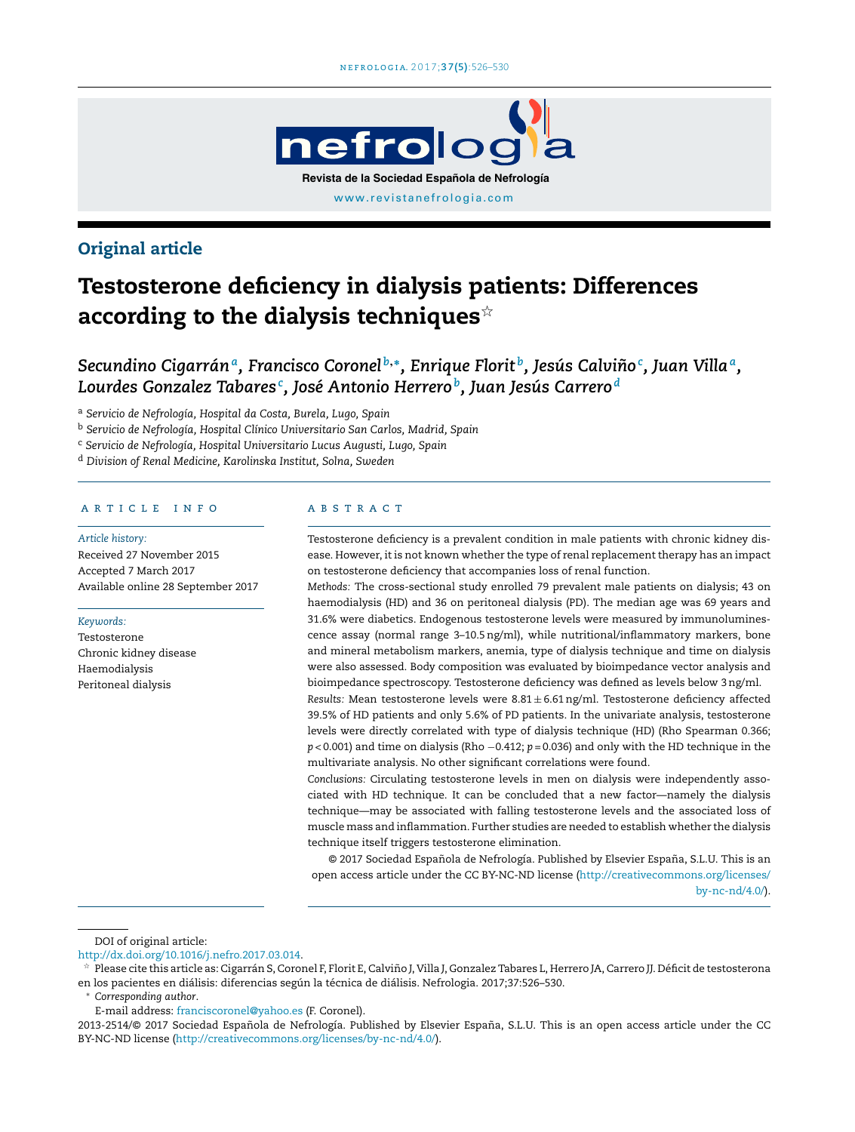

# Original article

# Testosterone deficiency in dialysis patients: Differences according to the dialysis techniques $^{\scriptscriptstyle\mathrm{\mathsf{\hat{\pi}}}}$

Secundino Cigarránª, Francisco Coronelʰ,\*, Enrique Floritʰ, Jesús Calviñoʿ, Juan Villaª, *Lourdes Gonzalez Tabares<sup>c</sup> , José Antonio Herrero <sup>b</sup> , Juan Jesús Carrero <sup>d</sup>*

<sup>a</sup> *Servicio de Nefrología, Hospital da Costa, Burela, Lugo, Spain*

<sup>b</sup> *Servicio de Nefrología, Hospital Clínico Universitario San Carlos, Madrid, Spain*

<sup>c</sup> *Servicio de Nefrología, Hospital Universitario Lucus Augusti, Lugo, Spain*

<sup>d</sup> *Division of Renal Medicine, Karolinska Institut, Solna, Sweden*

# a r t i c l e i n f o

*Article history:* Received 27 November 2015 Accepted 7 March 2017 Available online 28 September 2017

#### *Keywords:*

Testosterone Chronic kidney disease Haemodialysis Peritoneal dialysis

#### a b s t r a c t

Testosterone deficiency is a prevalent condition in male patients with chronic kidney disease. However, it is not known whether the type of renal replacement therapy has an impact on testosterone deficiency that accompanies loss of renal function.

*Methods:* The cross-sectional study enrolled 79 prevalent male patients on dialysis; 43 on haemodialysis (HD) and 36 on peritoneal dialysis (PD). The median age was 69 years and 31.6% were diabetics. Endogenous testosterone levels were measured by immunoluminescence assay (normal range 3–10.5ng/ml), while nutritional/inflammatory markers, bone and mineral metabolism markers, anemia, type of dialysis technique and time on dialysis were also assessed. Body composition was evaluated by bioimpedance vector analysis and bioimpedance spectroscopy. Testosterone deficiency was defined as levels below 3ng/ml.

*Results:* Mean testosterone levels were 8.81 ± 6.61ng/ml. Testosterone deficiency affected 39.5% of HD patients and only 5.6% of PD patients. In the univariate analysis, testosterone levels were directly correlated with type of dialysis technique (HD) (Rho Spearman 0.366; *p* < 0.001) and time on dialysis (Rho −0.412; *p* = 0.036) and only with the HD technique in the multivariate analysis. No other significant correlations were found.

*Conclusions:* Circulating testosterone levels in men on dialysis were independently associated with HD technique. It can be concluded that a new factor—namely the dialysis technique—may be associated with falling testosterone levels and the associated loss of muscle mass and inflammation. Further studies are needed to establish whether the dialysis technique itself triggers testosterone elimination.

© 2017 Sociedad Española de Nefrología. Published by Elsevier España, S.L.U. This is an open access article under the CC BY-NC-ND license ([http://creativecommons.org/licenses/](http://creativecommons.org/licenses/by-nc-nd/4.0/) [by-nc-nd/4.0/](http://creativecommons.org/licenses/by-nc-nd/4.0/)).

DOI of original article:

E-mail address: [franciscoronel@yahoo.es](mailto:franciscoronel@yahoo.es) (F. Coronel).

[http://dx.doi.org/10.1016/j.nefro.2017.03.014.](http://dx.doi.org/10.1016/j.nefro.2017.03.014)

 $\frac{1}{24}$ Please cite this article as: Cigarrán S, Coronel F, Florit E, Calviño J, Villa J, Gonzalez Tabares L, Herrero JA, Carrero JJ. Déficit de testosterona en los pacientes en diálisis: diferencias según la técnica de diálisis. Nefrologia. 2017;37:526–530.

<sup>∗</sup> *Corresponding author*.

<sup>2013-2514/© 2017</sup> Sociedad Española de Nefrología. Published by Elsevier España, S.L.U. This is an open access article under the CC BY-NC-ND license [\(http://creativecommons.org/licenses/by-nc-nd/4.0/](http://creativecommons.org/licenses/by-nc-nd/4.0/)).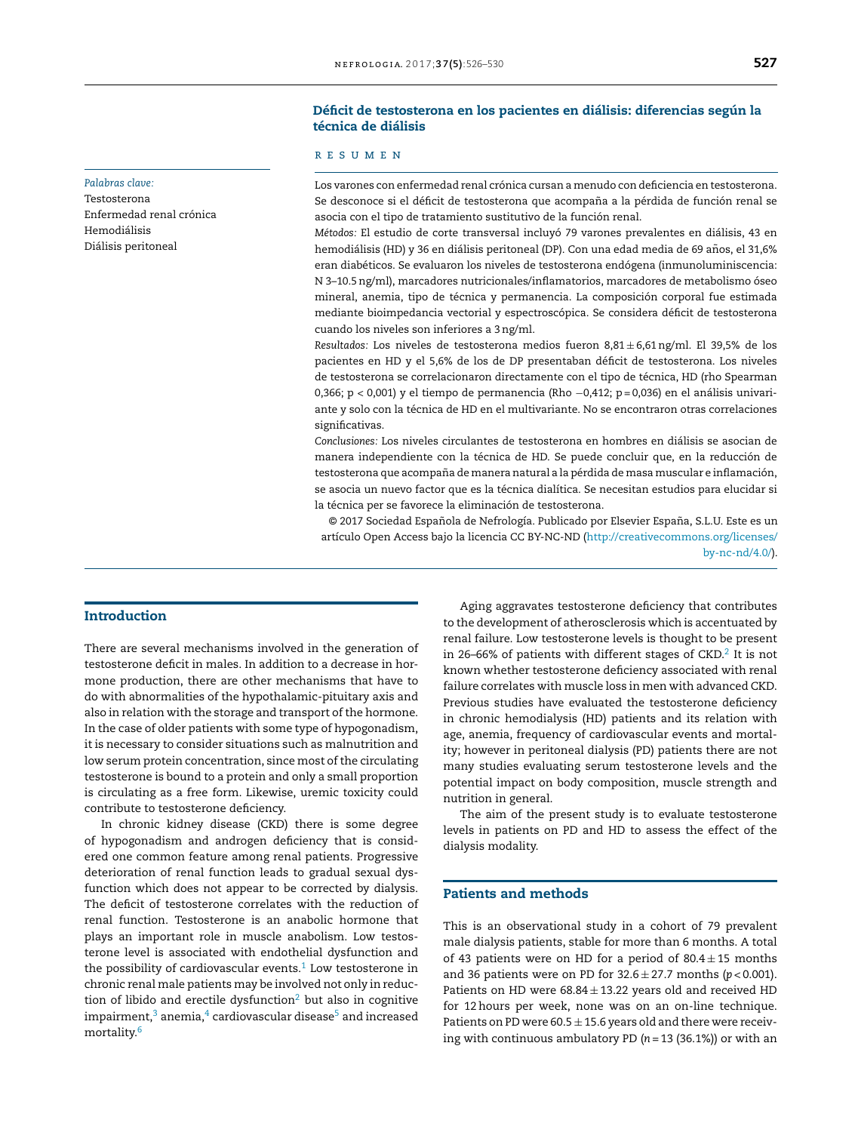# Déficit de testosterona en los pacientes en diálisis: diferencias según la técnica de diálisis

### r e s u m e n

Los varones con enfermedad renal crónica cursan a menudo con deficiencia en testosterona. Se desconoce si el déficit de testosterona que acompaña a la pérdida de función renal se asocia con el tipo de tratamiento sustitutivo de la función renal.

*Métodos:* El estudio de corte transversal incluyó 79 varones prevalentes en diálisis, 43 en hemodiálisis (HD) y 36 en diálisis peritoneal (DP). Con una edad media de 69 años, el 31,6% eran diabéticos. Se evaluaron los niveles de testosterona endógena (inmunoluminiscencia: N 3–10.5ng/ml), marcadores nutricionales/inflamatorios, marcadores de metabolismo óseo mineral, anemia, tipo de técnica y permanencia. La composición corporal fue estimada mediante bioimpedancia vectorial y espectroscópica. Se considera déficit de testosterona cuando los niveles son inferiores a 3ng/ml.

*Resultados:* Los niveles de testosterona medios fueron 8,81 ± 6,61ng/ml. El 39,5% de los pacientes en HD y el 5,6% de los de DP presentaban déficit de testosterona. Los niveles de testosterona se correlacionaron directamente con el tipo de técnica, HD (rho Spearman 0,366; p < 0,001) y el tiempo de permanencia (Rho −0,412; p = 0,036) en el análisis univariante y solo con la técnica de HD en el multivariante. No se encontraron otras correlaciones significativas.

*Conclusiones:* Los niveles circulantes de testosterona en hombres en diálisis se asocian de manera independiente con la técnica de HD. Se puede concluir que, en la reducción de testosterona que acompaña de manera natural a la pérdida de masa muscular e inflamación, se asocia un nuevo factor que es la técnica dialítica. Se necesitan estudios para elucidar si la técnica per se favorece la eliminación de testosterona.

© 2017 Sociedad Española de Nefrología. Publicado por Elsevier España, S.L.U. Este es un artículo Open Access bajo la licencia CC BY-NC-ND ([http://creativecommons.org/licenses/](http://creativecommons.org/licenses/by-nc-nd/4.0/) [by-nc-nd/4.0/](http://creativecommons.org/licenses/by-nc-nd/4.0/)).

## Introduction

There are several mechanisms involved in the generation of testosterone deficit in males. In addition to a decrease in hormone production, there are other mechanisms that have to do with abnormalities of the hypothalamic-pituitary axis and also in relation with the storage and transport of the hormone. In the case of older patients with some type of hypogonadism, it is necessary to consider situations such as malnutrition and low serum protein concentration, since most of the circulating testosterone is bound to a protein and only a small proportion is circulating as a free form. Likewise, uremic toxicity could contribute to testosterone deficiency.

In chronic kidney disease (CKD) there is some degree of hypogonadism and androgen deficiency that is considered one common feature among renal patients. Progressive deterioration of renal function leads to gradual sexual dysfunction which does not appear to be corrected by dialysis. The deficit of testosterone correlates with the reduction of renal function. Testosterone is an anabolic hormone that plays an important role in muscle anabolism. Low testosterone level is associated with endothelial dysfunction and the possibility of cardiovascular events. $1$  Low testosterone in chronic renal male patients may be involved not only in reduc-tion of libido and erectile dysfunction<sup>[2](#page-4-0)</sup> but also in cognitive imp[a](#page-4-0)irment, $3$  anemia, $4$  [c](#page-4-0)ardiovascular disease<sup>5</sup> and increased mortality.[6](#page-4-0)

Aging aggravates testosterone deficiency that contributes to the development of atherosclerosis which is accentuated by renal failure. Low testosterone levels is thought to be present in [2](#page-4-0)6–66% of patients with different stages of CKD. $^2$  It is not known whether testosterone deficiency associated with renal failure correlates with muscle loss in men with advanced CKD. Previous studies have evaluated the testosterone deficiency in chronic hemodialysis (HD) patients and its relation with age, anemia, frequency of cardiovascular events and mortality; however in peritoneal dialysis (PD) patients there are not many studies evaluating serum testosterone levels and the potential impact on body composition, muscle strength and nutrition in general.

The aim of the present study is to evaluate testosterone levels in patients on PD and HD to assess the effect of the dialysis modality.

#### Patients and methods

This is an observational study in a cohort of 79 prevalent male dialysis patients, stable for more than 6 months. A total of 43 patients were on HD for a period of  $80.4 \pm 15$  months and 36 patients were on PD for 32.6 ± 27.7 months (*p* < 0.001). Patients on HD were  $68.84 \pm 13.22$  years old and received HD for 12hours per week, none was on an on-line technique. Patients on PD were  $60.5 \pm 15.6$  years old and there were receiving with continuous ambulatory PD (*n* = 13 (36.1%)) or with an

#### *Palabras clave:*

Testosterona Enfermedad renal crónica Hemodiálisis Diálisis peritoneal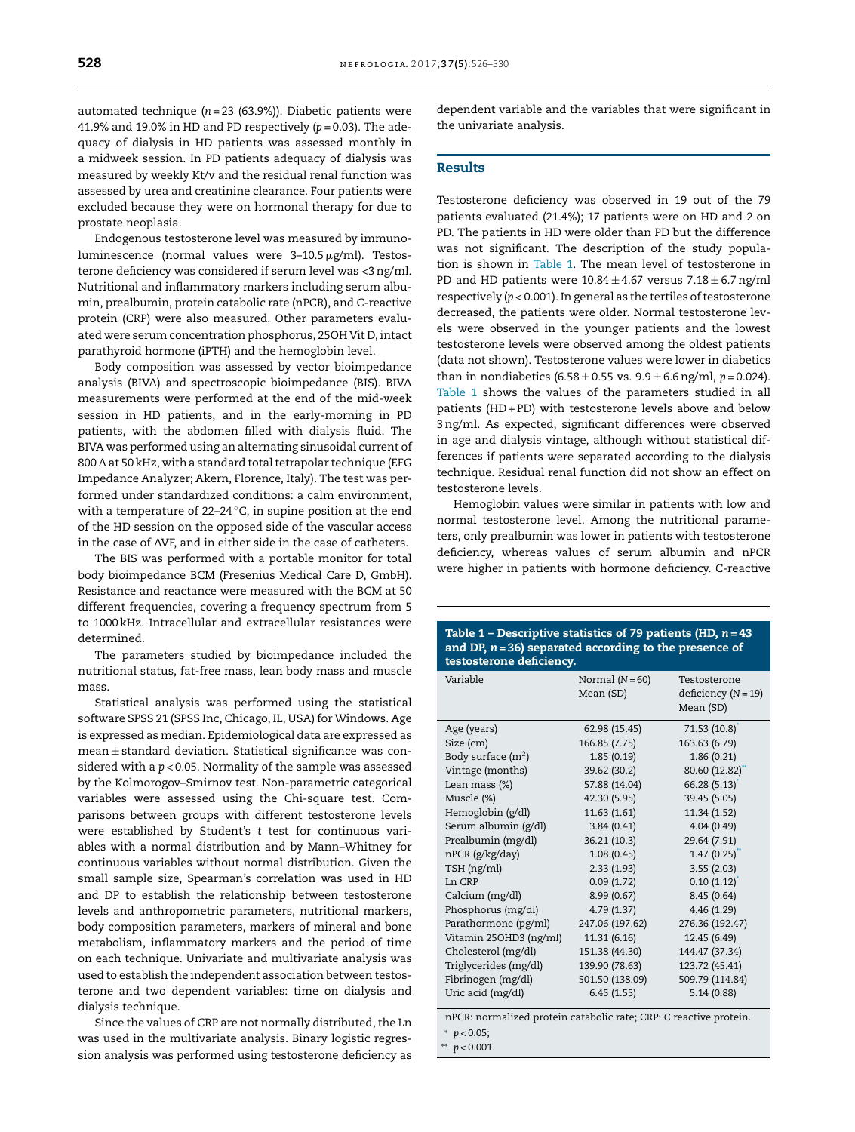<span id="page-2-0"></span>automated technique (*n* = 23 (63.9%)). Diabetic patients were 41.9% and 19.0% in HD and PD respectively (*p* = 0.03). The adequacy of dialysis in HD patients was assessed monthly in a midweek session. In PD patients adequacy of dialysis was measured by weekly Kt/v and the residual renal function was assessed by urea and creatinine clearance. Four patients were excluded because they were on hormonal therapy for due to prostate neoplasia.

Endogenous testosterone level was measured by immunoluminescence (normal values were 3–10.5 µg/ml). Testosterone deficiency was considered if serum level was <3ng/ml. Nutritional and inflammatory markers including serum albumin, prealbumin, protein catabolic rate (nPCR), and C-reactive protein (CRP) were also measured. Other parameters evaluated were serum concentration phosphorus, 25OH Vit D, intact parathyroid hormone (iPTH) and the hemoglobin level.

Body composition was assessed by vector bioimpedance analysis (BIVA) and spectroscopic bioimpedance (BIS). BIVA measurements were performed at the end of the mid-week session in HD patients, and in the early-morning in PD patients, with the abdomen filled with dialysis fluid. The BIVA was performed using an alternating sinusoidal current of 800 A at 50 kHz, with a standard total tetrapolar technique (EFG Impedance Analyzer; Akern, Florence, Italy). The test was performed under standardized conditions: a calm environment, with a temperature of 22–24 ℃, in supine position at the end of the HD session on the opposed side of the vascular access in the case of AVF, and in either side in the case of catheters.

The BIS was performed with a portable monitor for total body bioimpedance BCM (Fresenius Medical Care D, GmbH). Resistance and reactance were measured with the BCM at 50 different frequencies, covering a frequency spectrum from 5 to 1000 kHz. Intracellular and extracellular resistances were determined.

The parameters studied by bioimpedance included the nutritional status, fat-free mass, lean body mass and muscle mass.

Statistical analysis was performed using the statistical software SPSS 21 (SPSS Inc, Chicago, IL, USA) for Windows. Age is expressed as median. Epidemiological data are expressed as mean ± standard deviation. Statistical significance was considered with a *p* < 0.05. Normality of the sample was assessed by the Kolmorogov–Smirnov test. Non-parametric categorical variables were assessed using the Chi-square test. Comparisons between groups with different testosterone levels were established by Student's *t* test for continuous variables with a normal distribution and by Mann–Whitney for continuous variables without normal distribution. Given the small sample size, Spearman's correlation was used in HD and DP to establish the relationship between testosterone levels and anthropometric parameters, nutritional markers, body composition parameters, markers of mineral and bone metabolism, inflammatory markers and the period of time on each technique. Univariate and multivariate analysis was used to establish the independent association between testosterone and two dependent variables: time on dialysis and dialysis technique.

Since the values of CRP are not normally distributed, the Ln was used in the multivariate analysis. Binary logistic regression analysis was performed using testosterone deficiency as dependent variable and the variables that were significant in the univariate analysis.

### Results

Testosterone deficiency was observed in 19 out of the 79 patients evaluated (21.4%); 17 patients were on HD and 2 on PD. The patients in HD were older than PD but the difference was not significant. The description of the study population is shown in Table 1. The mean level of testosterone in PD and HD patients were  $10.84 \pm 4.67$  versus  $7.18 \pm 6.7$  ng/ml respectively ( $p < 0.001$ ). In general as the tertiles of testosterone decreased, the patients were older. Normal testosterone levels were observed in the younger patients and the lowest testosterone levels were observed among the oldest patients (data not shown). Testosterone values were lower in diabetics than in nondiabetics  $(6.58 \pm 0.55 \text{ vs. } 9.9 \pm 6.6 \text{ ng/ml}, p = 0.024)$ . Table 1 shows the values of the parameters studied in all patients (HD + PD) with testosterone levels above and below 3ng/ml. As expected, significant differences were observed in age and dialysis vintage, although without statistical differences if patients were separated according to the dialysis technique. Residual renal function did not show an effect on testosterone levels.

Hemoglobin values were similar in patients with low and normal testosterone level. Among the nutritional parameters, only prealbumin was lower in patients with testosterone deficiency, whereas values of serum albumin and nPCR were higher in patients with hormone deficiency. C-reactive

| Table 1 – Descriptive statistics of 79 patients (HD, $n = 43$<br>and DP, $n = 36$ ) separated according to the presence of<br>testosterone deficiency.                    |                                |                                                      |
|---------------------------------------------------------------------------------------------------------------------------------------------------------------------------|--------------------------------|------------------------------------------------------|
| Variable                                                                                                                                                                  | Normal $(N = 60)$<br>Mean (SD) | Testosterone<br>deficiency ( $N = 19$ )<br>Mean (SD) |
| Age (years)                                                                                                                                                               | 62.98 (15.45)                  | 71.53(10.8)                                          |
| Size (cm)                                                                                                                                                                 | 166.85 (7.75)                  | 163.63 (6.79)                                        |
| Body surface $(m^2)$                                                                                                                                                      | 1.85(0.19)                     | 1.86(0.21)                                           |
| Vintage (months)                                                                                                                                                          | 39.62 (30.2)                   | 80.60(12.82)                                         |
| Lean mass (%)                                                                                                                                                             | 57.88 (14.04)                  | 66.28(5.13)                                          |
| Muscle (%)                                                                                                                                                                | 42.30 (5.95)                   | 39.45 (5.05)                                         |
| Hemoglobin (g/dl)                                                                                                                                                         | 11.63(1.61)                    | 11.34 (1.52)                                         |
| Serum albumin (g/dl)                                                                                                                                                      | 3.84(0.41)                     | 4.04(0.49)                                           |
| Prealbumin (mg/dl)                                                                                                                                                        | 36.21 (10.3)                   | 29.64 (7.91)                                         |
| nPCR (g/kg/day)                                                                                                                                                           | 1.08(0.45)                     | 1.47(0.25)                                           |
| TSH (ng/ml)                                                                                                                                                               | 2.33(1.93)                     | 3.55(2.03)                                           |
| Ln CRP                                                                                                                                                                    | 0.09(1.72)                     | $0.10(1.12)^{1}$                                     |
| Calcium (mg/dl)                                                                                                                                                           | 8.99(0.67)                     | 8.45(0.64)                                           |
| Phosphorus (mg/dl)                                                                                                                                                        | 4.79(1.37)                     | 4.46(1.29)                                           |
| Parathormone (pg/ml)                                                                                                                                                      | 247.06 (197.62)                | 276.36 (192.47)                                      |
| Vitamin 25OHD3 (ng/ml)                                                                                                                                                    | 11.31 (6.16)                   | 12.45 (6.49)                                         |
| Cholesterol (mg/dl)                                                                                                                                                       | 151.38 (44.30)                 | 144.47 (37.34)                                       |
| Triglycerides (mg/dl)                                                                                                                                                     | 139.90 (78.63)                 | 123.72 (45.41)                                       |
| Fibrinogen (mg/dl)                                                                                                                                                        | 501.50 (138.09)                | 509.79 (114.84)                                      |
| Uric acid (mg/dl)<br>p <sub>p</sub> <sub>C</sub> <sub>p</sub> p <sub>o</sub> rmalized protein catabolic rate: C <sub>P</sub> <sub>p</sub> . C <sub>ropetive</sub> protein | 6.45(1.55)                     | 5.14(0.88)                                           |

nPCR: normalized protein catabolic rate; CRP: C reactive protein.

- <sup>∗</sup> *p* < 0.05;
- ∗∗ *p* < 0.001.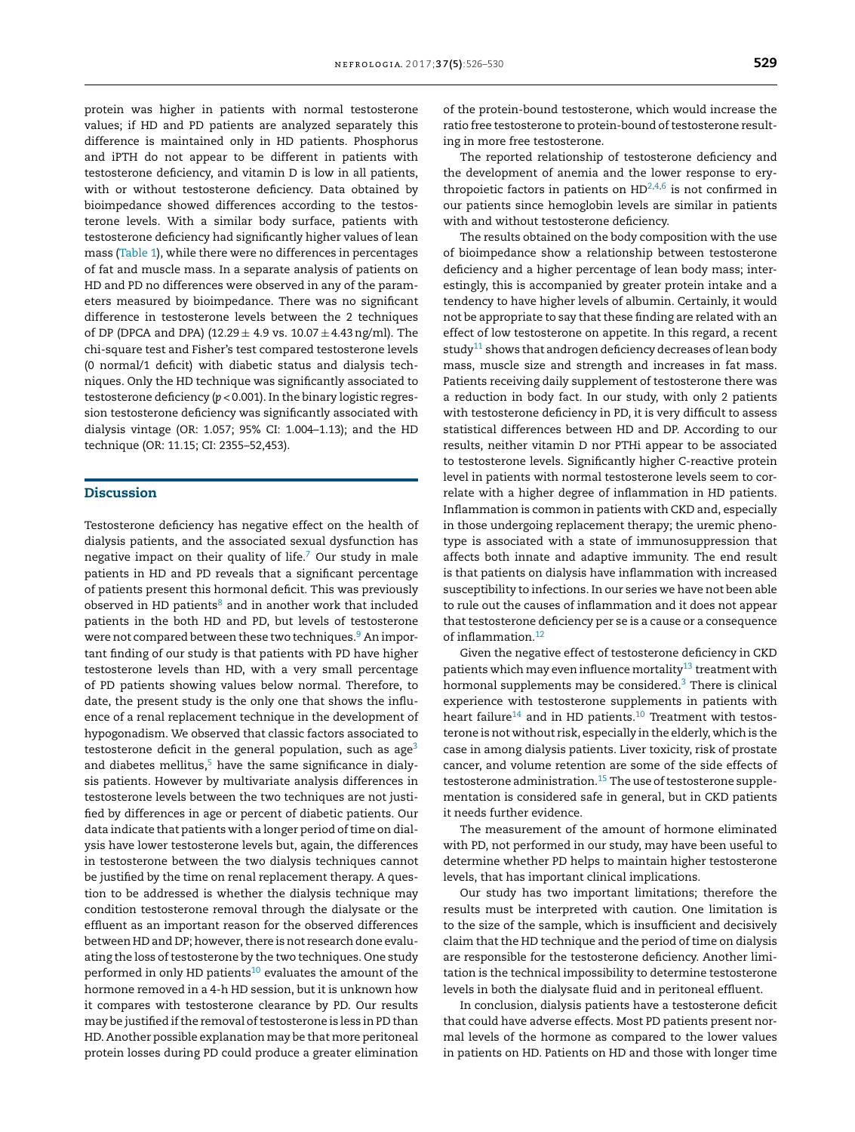protein was higher in patients with normal testosterone values; if HD and PD patients are analyzed separately this difference is maintained only in HD patients. Phosphorus and iPTH do not appear to be different in patients with testosterone deficiency, and vitamin D is low in all patients, with or without testosterone deficiency. Data obtained by bioimpedance showed differences according to the testosterone levels. With a similar body surface, patients with testosterone deficiency had significantly higher values of lean mass ([Table](#page-2-0) 1), while there were no differences in percentages of fat and muscle mass. In a separate analysis of patients on HD and PD no differences were observed in any of the parameters measured by bioimpedance. There was no significant difference in testosterone levels between the 2 techniques of DP (DPCA and DPA) (12.29  $\pm$  4.9 vs. 10.07  $\pm$  4.43 ng/ml). The chi-square test and Fisher's test compared testosterone levels (0 normal/1 deficit) with diabetic status and dialysis techniques. Only the HD technique was significantly associated to testosterone deficiency (*p* < 0.001). In the binary logistic regression testosterone deficiency was significantly associated with dialysis vintage (OR: 1.057; 95% CI: 1.004–1.13); and the HD technique (OR: 11.15; CI: 2355–52,453).

### Discussion

Testosterone deficiency has negative effect on the health of dialysis patients, and the associated sexual dysfunction has negative impact on their quality of life. $<sup>7</sup>$  $<sup>7</sup>$  $<sup>7</sup>$  Our study in male</sup> patients in HD and PD reveals that a significant percentage of patients present this hormonal deficit. This was previously observed in HD patients $8$  and in another work that included patients in the both HD and PD, but levels of testosterone were not compared between these two techniques.<sup>9</sup> [A](#page-4-0)n important finding of our study is that patients with PD have higher testosterone levels than HD, with a very small percentage of PD patients showing values below normal. Therefore, to date, the present study is the only one that shows the influence of a renal replacement technique in the development of hypogonadism. We observed that classic factors associated to testosterone deficit in the general population, such as  $age<sup>3</sup>$  $age<sup>3</sup>$  $age<sup>3</sup>$ and diabetes mellitus, $5$  have the same significance in dialysis patients. However by multivariate analysis differences in testosterone levels between the two techniques are not justified by differences in age or percent of diabetic patients. Our data indicate that patients with a longer period of time on dialysis have lower testosterone levels but, again, the differences in testosterone between the two dialysis techniques cannot be justified by the time on renal replacement therapy. A question to be addressed is whether the dialysis technique may condition testosterone removal through the dialysate or the effluent as an important reason for the observed differences between HD and DP; however, there is not research done evaluating the loss of testosterone by the two techniques. One study performed in only HD patients<sup>[10](#page-4-0)</sup> evaluates the amount of the hormone removed in a 4-h HD session, but it is unknown how it compares with testosterone clearance by PD. Our results may be justified if the removal of testosterone is less in PD than HD. Another possible explanation may be that more peritoneal protein losses during PD could produce a greater elimination

of the protein-bound testosterone, which would increase the ratio free testosterone to protein-bound of testosterone resulting in more free testosterone.

The reported relationship of testosterone deficiency and the development of anemia and the lower response to erythropoietic factors in patients on  $HD^{2,4,6}$  $HD^{2,4,6}$  $HD^{2,4,6}$  is not confirmed in our patients since hemoglobin levels are similar in patients with and without testosterone deficiency.

The results obtained on the body composition with the use of bioimpedance show a relationship between testosterone deficiency and a higher percentage of lean body mass; interestingly, this is accompanied by greater protein intake and a tendency to have higher levels of albumin. Certainly, it would not be appropriate to say that these finding are related with an effect of low testosterone on appetite. In this regard, a recent study $^{11}$  $^{11}$  $^{11}$  shows that androgen deficiency decreases of lean body mass, muscle size and strength and increases in fat mass. Patients receiving daily supplement of testosterone there was a reduction in body fact. In our study, with only 2 patients with testosterone deficiency in PD, it is very difficult to assess statistical differences between HD and DP. According to our results, neither vitamin D nor PTHi appear to be associated to testosterone levels. Significantly higher C-reactive protein level in patients with normal testosterone levels seem to correlate with a higher degree of inflammation in HD patients. Inflammation is common in patients with CKD and, especially in those undergoing replacement therapy; the uremic phenotype is associated with a state of immunosuppression that affects both innate and adaptive immunity. The end result is that patients on dialysis have inflammation with increased susceptibility to infections. In our series we have not been able to rule out the causes of inflammation and it does not appear that testosterone deficiency per se is a cause or a consequence of inflammation.[12](#page-4-0)

Given the negative effect of testosterone deficiency in CKD patients which may even influence mortality $13$  treatment with hormonal supplements may be considered. $3$  There is clinical experience with testosterone supplements in patients with heart failure<sup>[14](#page-4-0)</sup> and in HD patients.<sup>[10](#page-4-0)</sup> Treatment with testosterone is not without risk, especially in the elderly, which is the case in among dialysis patients. Liver toxicity, risk of prostate cancer, and volume retention are some of the side effects of testosterone administration.<sup>[15](#page-4-0)</sup> The use of testosterone supplementation is considered safe in general, but in CKD patients it needs further evidence.

The measurement of the amount of hormone eliminated with PD, not performed in our study, may have been useful to determine whether PD helps to maintain higher testosterone levels, that has important clinical implications.

Our study has two important limitations; therefore the results must be interpreted with caution. One limitation is to the size of the sample, which is insufficient and decisively claim that the HD technique and the period of time on dialysis are responsible for the testosterone deficiency. Another limitation is the technical impossibility to determine testosterone levels in both the dialysate fluid and in peritoneal effluent.

In conclusion, dialysis patients have a testosterone deficit that could have adverse effects. Most PD patients present normal levels of the hormone as compared to the lower values in patients on HD. Patients on HD and those with longer time